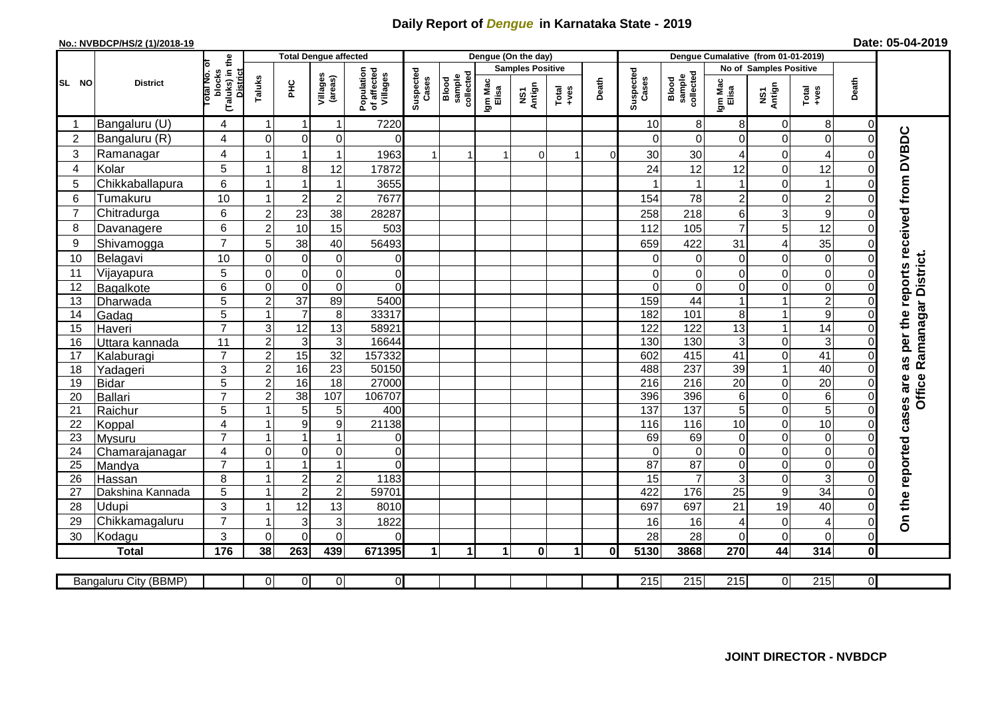## **Daily Report of** *Dengue* **in Karnataka State - 2019**

## **No.: NVBDCP/HS/2 (1)/2018-19**

|  | Date: 05-04-2019 |
|--|------------------|
|--|------------------|

|                |                       |                                                       |                  |                                  | <b>Total Dengue affected</b>  |                                       |                    |                              |                  | Dengue (On the day)     |                                                              |          |                    |                                   |                      |                               |                               |                     |                                        |
|----------------|-----------------------|-------------------------------------------------------|------------------|----------------------------------|-------------------------------|---------------------------------------|--------------------|------------------------------|------------------|-------------------------|--------------------------------------------------------------|----------|--------------------|-----------------------------------|----------------------|-------------------------------|-------------------------------|---------------------|----------------------------------------|
|                |                       |                                                       |                  |                                  |                               |                                       |                    |                              |                  | <b>Samples Positive</b> |                                                              |          |                    |                                   |                      | <b>No of Samples Positive</b> |                               |                     |                                        |
| SL NO          | <b>District</b>       | (Taluks) in the<br>District<br>rotal No. of<br>blocks | Taluks           | ΞÉ                               | Villages<br>(areas)           | Population<br>of affected<br>Villages | Suspected<br>Cases | sample<br>collected<br>Blood | Igm Mac<br>Elisa | NS1<br>Antign           | $\begin{array}{c}\n\text{Total} \\ \text{Area}\n\end{array}$ | Death    | Suspected<br>Cases | sample<br>collected<br>Blood      | Igm Mac<br>Elisa     | NS1<br>Antign                 | $Tota$<br>$+ves$              | Death               |                                        |
|                | Bangaluru (U)         | 4                                                     |                  | -1                               | 1                             | 7220                                  |                    |                              |                  |                         |                                                              |          | 10                 | 8                                 | 8                    | $\mathbf 0$                   | 8                             | $\overline{0}$      |                                        |
| $\overline{2}$ | Bangaluru (R)         | 4                                                     | $\Omega$         | $\mathbf 0$                      | 0                             | $\Omega$                              |                    |                              |                  |                         |                                                              |          | ∩                  | $\Omega$                          | $\Omega$             | $\mathbf 0$                   | $\overline{0}$                | $\Omega$            |                                        |
| 3              | Ramanagar             | 4                                                     |                  | -1                               | 1                             | 1963                                  | 1                  |                              |                  | $\Omega$                |                                                              | $\Omega$ | 30                 | 30                                | 4                    | 0                             | 4                             | 0                   | as per the reports received from DVBDC |
| $\overline{4}$ | Kolar                 | 5                                                     |                  | 8                                | 12                            | 17872                                 |                    |                              |                  |                         |                                                              |          | 24                 | 12                                | 12                   | $\mathbf 0$                   | 12                            | $\Omega$            |                                        |
| 5              | Chikkaballapura       | 6                                                     |                  | $\overline{\mathbf{1}}$          | 1                             | 3655                                  |                    |                              |                  |                         |                                                              |          |                    |                                   | $\blacktriangleleft$ | $\mathbf 0$                   | $\mathbf{1}$                  | $\Omega$            |                                        |
| 6              | Tumakuru              | 10                                                    |                  | $\overline{2}$                   | $\overline{c}$                | 7677                                  |                    |                              |                  |                         |                                                              |          | 154                | 78                                | $\overline{2}$       | $\mathbf 0$                   | $\overline{c}$                | 0                   |                                        |
| $\overline{7}$ | Chitradurga           | 6                                                     | $\boldsymbol{2}$ | 23                               | 38                            | 28287                                 |                    |                              |                  |                         |                                                              |          | 258                | 218                               | 6                    | 3                             | 9                             | 0                   |                                        |
| 8              | Davanagere            | 6                                                     | $\overline{2}$   | 10                               | 15                            | 503                                   |                    |                              |                  |                         |                                                              |          | 112                | 105                               | $\overline{7}$       | 5                             | 12                            | $\Omega$            |                                        |
| 9              | Shivamogga            | $\overline{7}$                                        | 5                | 38                               | 40                            | 56493                                 |                    |                              |                  |                         |                                                              |          | 659                | 422                               | 31                   | 4                             | 35                            | $\Omega$            |                                        |
| 10             | Belagavi              | 10                                                    | $\mathbf 0$      | $\mathbf 0$                      | 0                             | 0                                     |                    |                              |                  |                         |                                                              |          | 0                  | 0                                 | 0                    | $\mathbf 0$                   | $\mathbf 0$                   | 0                   | Ramanagar District.                    |
| 11             | Vijayapura            | 5                                                     | $\mathbf 0$      | $\mathbf 0$                      | 0                             | $\pmb{0}$                             |                    |                              |                  |                         |                                                              |          | $\Omega$           | $\mathbf 0$                       | 0                    | $\mathbf 0$                   | $\mathbf 0$                   | $\Omega$            |                                        |
| 12             | Bagalkote             | 6                                                     | $\mathbf 0$      | $\overline{0}$                   | $\overline{0}$                | $\overline{0}$                        |                    |                              |                  |                         |                                                              |          | $\Omega$           | $\Omega$                          | 0                    | $\mathbf 0$                   | $\overline{0}$                | $\Omega$            |                                        |
| 13             | Dharwada              | $\overline{5}$                                        | $\overline{2}$   | $\overline{37}$                  | 89                            | 5400                                  |                    |                              |                  |                         |                                                              |          | 159                | 44                                | $\mathbf{1}$         | $\mathbf{1}$                  | $\overline{2}$                | $\Omega$            |                                        |
| 14             | Gadag                 | $\overline{5}$                                        |                  | $\overline{7}$                   | 8                             | 33317                                 |                    |                              |                  |                         |                                                              |          | 182                | 101                               | 8                    | $\mathbf{1}$                  | $\overline{9}$                | 0                   |                                        |
| 15             | Haveri                | $\overline{7}$                                        | 3                | 12                               | 13                            | 58921                                 |                    |                              |                  |                         |                                                              |          | 122                | 122                               | $\overline{13}$      | $\mathbf{1}$                  | $\overline{14}$               | $\Omega$            |                                        |
| 16             | Uttara kannada        | $\overline{11}$                                       | $\overline{2}$   | $\overline{3}$                   | $\overline{3}$                | 16644                                 |                    |                              |                  |                         |                                                              |          | 130                | 130                               | 3                    | $\overline{0}$                | $\overline{3}$                | 0                   |                                        |
| 17             | Kalaburagi            | $\overline{7}$                                        | $\overline{c}$   | 15                               | $\overline{32}$               | 157332                                |                    |                              |                  |                         |                                                              |          | 602                | 415                               | 41                   | $\mathbf 0$                   | 41                            | 0                   |                                        |
| 18             | Yadageri              | 3                                                     | $\overline{2}$   | 16                               | $\overline{23}$               | 50150                                 |                    |                              |                  |                         |                                                              |          | 488                | 237                               | 39                   | $\mathbf{1}$                  | 40                            | 0                   |                                        |
| 19             | Bidar                 | 5                                                     | $\overline{2}$   | 16                               | $\overline{18}$               | 27000                                 |                    |                              |                  |                         |                                                              |          | 216                | 216                               | $\overline{20}$      | $\mathbf 0$                   | $\overline{20}$               | $\Omega$            |                                        |
| 20             | Ballari               | $\overline{7}$                                        | $\boldsymbol{2}$ | 38                               | 107                           | 106707                                |                    |                              |                  |                         |                                                              |          | 396                | 396                               | 6                    | $\overline{0}$                | $\overline{6}$                | $\Omega$            | Office                                 |
| 21             | Raichur               | $\overline{5}$                                        |                  | 5                                | 5                             | 400                                   |                    |                              |                  |                         |                                                              |          | 137                | 137                               | $\overline{5}$       | $\mathbf 0$                   | $\overline{5}$                | $\Omega$            |                                        |
| 22             | Koppal                | 4                                                     |                  | $\boldsymbol{9}$                 | 9                             | 21138                                 |                    |                              |                  |                         |                                                              |          | 116                | 116                               | 10                   | $\mathbf 0$                   | 10                            | $\Omega$            |                                        |
| 23             | Mysuru                | $\overline{7}$                                        |                  | $\overline{1}$                   |                               | 0                                     |                    |                              |                  |                         |                                                              |          | 69                 | 69                                | 0                    | $\mathbf 0$                   | $\boldsymbol{0}$              | $\Omega$            |                                        |
| 24             | Chamarajanagar        | 4<br>$\overline{7}$                                   | $\mathbf 0$      | 0<br>-1                          | 0                             | 0                                     |                    |                              |                  |                         |                                                              |          | $\Omega$           | $\mathbf 0$                       | 0                    | $\boldsymbol{0}$              | $\mathbf 0$                   | 0                   |                                        |
| 25             | Mandya                |                                                       |                  |                                  | 1                             | $\Omega$                              |                    |                              |                  |                         |                                                              |          | 87                 | $\overline{87}$<br>$\overline{7}$ | 0                    | $\mathbf 0$                   | $\mathbf 0$                   | $\Omega$            |                                        |
| 26             | Hassan                | 8                                                     |                  | $\overline{2}$<br>$\overline{2}$ | $\mathbf 2$<br>$\overline{2}$ | 1183<br>59701                         |                    |                              |                  |                         |                                                              |          | 15<br>422          | 176                               | 3<br>$\overline{25}$ | $\mathbf 0$                   | $\mathbf{3}$<br>34            | 0<br>0              |                                        |
| 27             | Dakshina Kannada      | 5                                                     |                  |                                  |                               |                                       |                    |                              |                  |                         |                                                              |          |                    |                                   |                      | $\boldsymbol{9}$              |                               |                     |                                        |
| 28<br>29       | <b>Udupi</b>          | 3<br>$\overline{7}$                                   |                  | 12                               | 13                            | 8010<br>1822                          |                    |                              |                  |                         |                                                              |          | 697                | 697                               | 21                   | 19                            | 40                            | $\Omega$<br>0       | On the reported cases are              |
|                | Chikkamagaluru        | 3                                                     | $\Omega$         | 3                                | 3                             |                                       |                    |                              |                  |                         |                                                              |          | 16                 | 16                                | 4                    | $\mathbf 0$                   | $\overline{4}$<br>$\mathbf 0$ |                     |                                        |
| 30             | Kodagu                | 176                                                   |                  | $\mathbf 0$                      | $\mathbf 0$                   | 0                                     |                    |                              |                  |                         |                                                              |          | 28                 | 28                                | 0                    | $\mathbf 0$<br>44             | 314                           | $\overline{0}$      |                                        |
|                | <b>Total</b>          |                                                       | 38               | 263                              | 439                           | 671395                                | 1                  | 1                            | 1                | $\mathbf 0$             | 1                                                            | 0        | 5130               | 3868                              | 270                  |                               |                               | $\mathbf{0}$        |                                        |
|                | Bangaluru City (BBMP) |                                                       | $\overline{0}$   | $\overline{0}$                   | $\overline{0}$                | $\overline{0}$                        |                    |                              |                  |                         |                                                              |          | $\overline{215}$   | 215                               | 215                  | $\overline{0}$                | 215                           | $\overline{\Omega}$ |                                        |